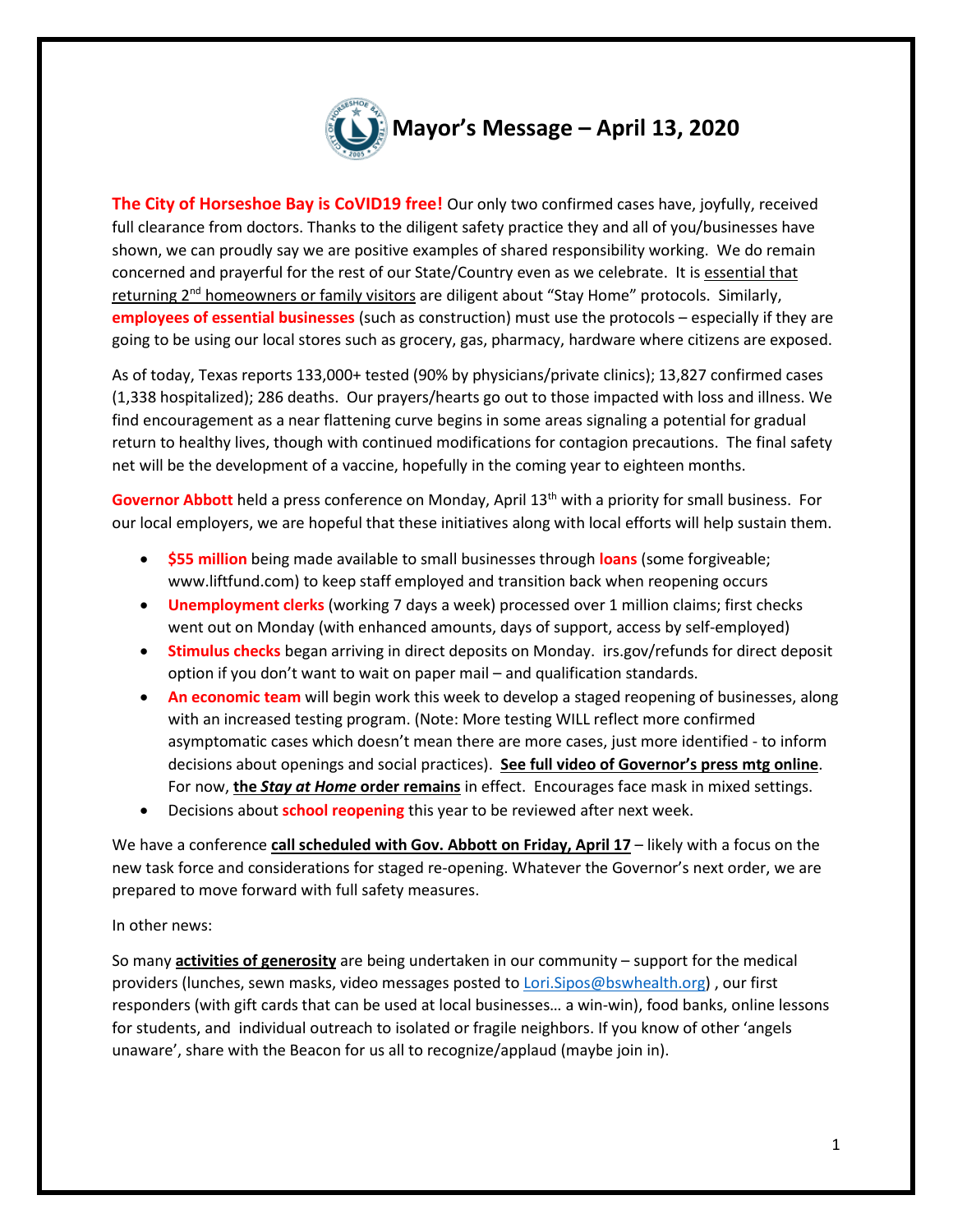

**The City of Horseshoe Bay is CoVID19 free!** Our only two confirmed cases have, joyfully, received full clearance from doctors. Thanks to the diligent safety practice they and all of you/businesses have shown, we can proudly say we are positive examples of shared responsibility working. We do remain concerned and prayerful for the rest of our State/Country even as we celebrate. It is essential that returning 2<sup>nd</sup> homeowners or family visitors are diligent about "Stay Home" protocols. Similarly, **employees of essential businesses** (such as construction) must use the protocols – especially if they are going to be using our local stores such as grocery, gas, pharmacy, hardware where citizens are exposed.

As of today, Texas reports 133,000+ tested (90% by physicians/private clinics); 13,827 confirmed cases (1,338 hospitalized); 286 deaths. Our prayers/hearts go out to those impacted with loss and illness. We find encouragement as a near flattening curve begins in some areas signaling a potential for gradual return to healthy lives, though with continued modifications for contagion precautions. The final safety net will be the development of a vaccine, hopefully in the coming year to eighteen months.

Governor Abbott held a press conference on Monday, April 13<sup>th</sup> with a priority for small business. For our local employers, we are hopeful that these initiatives along with local efforts will help sustain them.

- **\$55 million** being made available to small businesses through **loans** (some forgiveable; www.liftfund.com) to keep staff employed and transition back when reopening occurs
- **Unemployment clerks** (working 7 days a week) processed over 1 million claims; first checks went out on Monday (with enhanced amounts, days of support, access by self-employed)
- **Stimulus checks** began arriving in direct deposits on Monday. irs.gov/refunds for direct deposit option if you don't want to wait on paper mail – and qualification standards.
- **An economic team** will begin work this week to develop a staged reopening of businesses, along with an increased testing program. (Note: More testing WILL reflect more confirmed asymptomatic cases which doesn't mean there are more cases, just more identified - to inform decisions about openings and social practices). **See full video of Governor's press mtg online**. For now, **the** *Stay at Home* **order remains** in effect. Encourages face mask in mixed settings.
- Decisions about **school reopening** this year to be reviewed after next week.

We have a conference **call scheduled with Gov. Abbott on Friday, April 17** – likely with a focus on the new task force and considerations for staged re-opening. Whatever the Governor's next order, we are prepared to move forward with full safety measures.

## In other news:

So many **activities of generosity** are being undertaken in our community – support for the medical providers (lunches, sewn masks, video messages posted to [Lori.Sipos@bswhealth.org\)](mailto:Lori.Sipos@bsehealth.org) , our first responders (with gift cards that can be used at local businesses… a win-win), food banks, online lessons for students, and individual outreach to isolated or fragile neighbors. If you know of other 'angels unaware', share with the Beacon for us all to recognize/applaud (maybe join in).